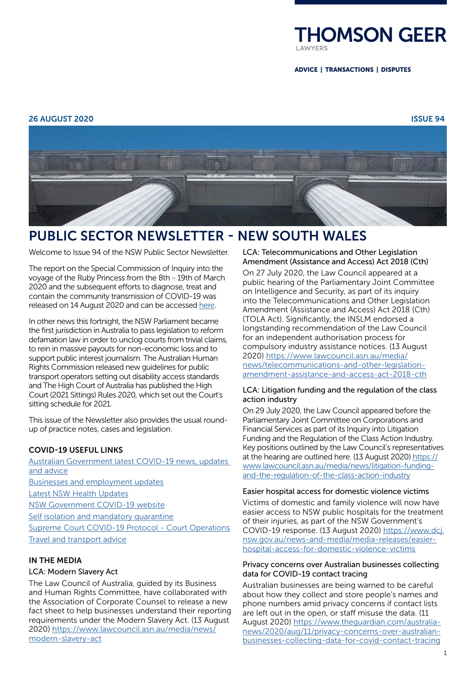

ADVICE | TRANSACTIONS | DISPUTES

## 26 AUGUST 2020 ISSUE 94



# PUBLIC SECTOR NEWSLETTER - NEW SOUTH WALES

Welcome to Issue 94 of the NSW Public Sector Newsletter.

The report on the Special Commission of Inquiry into the voyage of the Ruby Princess from the 8th - 19th of March 2020 and the subsequent efforts to diagnose, treat and contain the community transmission of COVID-19 was released on 14 August 2020 and can be accessed [here](https://www.dpc.nsw.gov.au/assets/dpc-nsw-gov-au/publications/The-Special-Commission-of-Inquiry-into-the-Ruby-Princess-Listing-1628/Report-of-the-Special-Commission-of-Inquiry-into-the-Ruby-Princess.pdf).

In other news this fortnight, the NSW Parliament became the first jurisdiction in Australia to pass legislation to reform defamation law in order to unclog courts from trivial claims, to rein in massive payouts for non-economic loss and to support public interest journalism. The Australian Human Rights Commission released new guidelines for public transport operators setting out disability access standards and The High Court of Australia has published the High Court (2021 Sittings) Rules 2020, which set out the Court's sitting schedule for 2021.

This issue of the Newsletter also provides the usual roundup of practice notes, cases and legislation.

## COVID-19 USEFUL LINKS

[Australian Government latest COVID-19 news, updates](https://www.australia.gov.au/)  [and advice](https://www.australia.gov.au/) [Businesses and employment](https://www.nsw.gov.au/covid-19/businesses-and-employment) updates [Latest NSW Health Updates](https://www.health.nsw.gov.au/Infectious/diseases/Pages/coronavirus.aspx) N[SW Government COVID-19 website](https://preview.nsw.gov.au/covid-19) [Self isolation and mandatory quarantine](https://www.nsw.gov.au/covid-19/self-isolation) [Supreme Court COVID-19 Protocol - Court Operations](http://www.supremecourt.justice.nsw.gov.au/Documents/Home%20Page/Announcements/Protocol_v4_09_June_2020.pdf) [Travel and transport advice](https://www.nsw.gov.au/covid-19/travel-and-transport-advice)

# IN THE MEDIA

## LCA: Modern Slavery Act

The Law Council of Australia, guided by its Business and Human Rights Committee, have collaborated with the Association of Corporate Counsel to release a new fact sheet to help businesses understand their reporting requirements under the Modern Slavery Act. (13 August 2020) [https://www.lawcouncil.asn.au/media/news/](https://www.lawcouncil.asn.au/media/news/modern-slavery-act) [modern-slavery-act](https://www.lawcouncil.asn.au/media/news/modern-slavery-act)

LCA: Telecommunications and Other Legislation Amendment (Assistance and Access) Act 2018 (Cth)

On 27 July 2020, the Law Council appeared at a public hearing of the Parliamentary Joint Committee on Intelligence and Security, as part of its inquiry into the Telecommunications and Other Legislation Amendment (Assistance and Access) Act 2018 (Cth) (TOLA Act). Significantly, the INSLM endorsed a longstanding recommendation of the Law Council for an independent authorisation process for compulsory industry assistance notices. (13 August 2020) [https://www.lawcouncil.asn.au/media/](https://www.lawcouncil.asn.au/media/news/telecommunications-and-other-legislation-amendment-assistance-and-access-act-2018-cth) [news/telecommunications-and-other-legislation](https://www.lawcouncil.asn.au/media/news/telecommunications-and-other-legislation-amendment-assistance-and-access-act-2018-cth)[amendment-assistance-and-access-act-2018-cth](https://www.lawcouncil.asn.au/media/news/telecommunications-and-other-legislation-amendment-assistance-and-access-act-2018-cth)

### LCA: Litigation funding and the regulation of the class action industry

On 29 July 2020, the Law Council appeared before the Parliamentary Joint Committee on Corporations and Financial Services as part of its Inquiry into Litigation Funding and the Regulation of the Class Action Industry. Key positions outlined by the Law Council's representatives at the hearing are outlined here. (13 August 2020) [https://](https://www.lawcouncil.asn.au/media/news/litigation-funding-and-the-regulation-of-the-class-action-industry) [www.lawcouncil.asn.au/media/news/litigation-funding](https://www.lawcouncil.asn.au/media/news/litigation-funding-and-the-regulation-of-the-class-action-industry)[and-the-regulation-of-the-class-action-industry](https://www.lawcouncil.asn.au/media/news/litigation-funding-and-the-regulation-of-the-class-action-industry)

#### Easier hospital access for domestic violence victims

Victims of domestic and family violence will now have easier access to NSW public hospitals for the treatment of their injuries, as part of the NSW Government's COVID-19 response. (13 August 2020) [https://www.dcj.](https://www.dcj.nsw.gov.au/news-and-media/media-releases/easier-hospital-access-for-domestic-violence-victims) [nsw.gov.au/news-and-media/media-releases/easier](https://www.dcj.nsw.gov.au/news-and-media/media-releases/easier-hospital-access-for-domestic-violence-victims)[hospital-access-for-domestic-violence-victims](https://www.dcj.nsw.gov.au/news-and-media/media-releases/easier-hospital-access-for-domestic-violence-victims)

#### Privacy concerns over Australian businesses collecting data for COVID-19 contact tracing

Australian businesses are being warned to be careful about how they collect and store people's names and phone numbers amid privacy concerns if contact lists are left out in the open, or staff misuse the data. (11 August 2020) [https://www.theguardian.com/australia](https://www.theguardian.com/australia-news/2020/aug/11/privacy-concerns-over-australian-businesses-collecting-data-for-covid-contact-tracing)[news/2020/aug/11/privacy-concerns-over-australian](https://www.theguardian.com/australia-news/2020/aug/11/privacy-concerns-over-australian-businesses-collecting-data-for-covid-contact-tracing)[businesses-collecting-data-for-covid-contact-tracing](https://www.theguardian.com/australia-news/2020/aug/11/privacy-concerns-over-australian-businesses-collecting-data-for-covid-contact-tracing)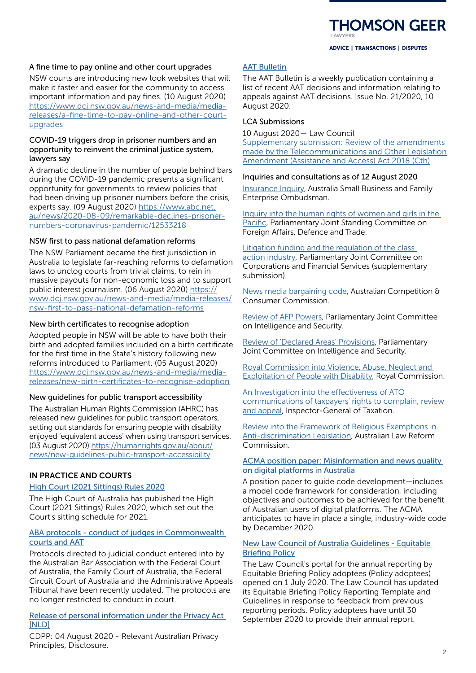#### A fine time to pay online and other court upgrades

NSW courts are introducing new look websites that will make it faster and easier for the community to access important information and pay fines. (10 August 2020) [https://www.dcj.nsw.gov.au/news-and-media/media](https://www.dcj.nsw.gov.au/news-and-media/media-releases/a-fine-time-to-pay-online-and-other-court-upgrades)[releases/a-fine-time-to-pay-online-and-other-court](https://www.dcj.nsw.gov.au/news-and-media/media-releases/a-fine-time-to-pay-online-and-other-court-upgrades)[upgrades](https://www.dcj.nsw.gov.au/news-and-media/media-releases/a-fine-time-to-pay-online-and-other-court-upgrades)

#### COVID-19 triggers drop in prisoner numbers and an opportunity to reinvent the criminal justice system, lawyers say

A dramatic decline in the number of people behind bars during the COVID-19 pandemic presents a significant opportunity for governments to review policies that had been driving up prisoner numbers before the crisis, experts say. (09 August 2020) [https://www.abc.net.](https://www.abc.net.au/news/2020-08-09/remarkable-declines-prisoner-numbers-coronavirus-pandemic/12533218) [au/news/2020-08-09/remarkable-declines-prisoner](https://www.abc.net.au/news/2020-08-09/remarkable-declines-prisoner-numbers-coronavirus-pandemic/12533218)[numbers-coronavirus-pandemic/12533218](https://www.abc.net.au/news/2020-08-09/remarkable-declines-prisoner-numbers-coronavirus-pandemic/12533218)

### NSW first to pass national defamation reforms

The NSW Parliament became the first jurisdiction in Australia to legislate far-reaching reforms to defamation laws to unclog courts from trivial claims, to rein in massive payouts for non-economic loss and to support public interest journalism. (06 August 2020) [https://](https://www.dcj.nsw.gov.au/news-and-media/media-releases/nsw-first-to-pass-national-defamation-reforms) [www.dcj.nsw.gov.au/news-and-media/media-releases/](https://www.dcj.nsw.gov.au/news-and-media/media-releases/nsw-first-to-pass-national-defamation-reforms) [nsw-first-to-pass-national-defamation-reforms](https://www.dcj.nsw.gov.au/news-and-media/media-releases/nsw-first-to-pass-national-defamation-reforms)

#### New birth certificates to recognise adoption

Adopted people in NSW will be able to have both their birth and adopted families included on a birth certificate for the first time in the State's history following new reforms introduced to Parliament. (05 August 2020) [https://www.dcj.nsw.gov.au/news-and-media/media](https://www.dcj.nsw.gov.au/news-and-media/media-releases/new-birth-certificates-to-recognise-adoption)[releases/new-birth-certificates-to-recognise-adoption](https://www.dcj.nsw.gov.au/news-and-media/media-releases/new-birth-certificates-to-recognise-adoption)

#### New guidelines for public transport accessibility

The Australian Human Rights Commission (AHRC) has released new guidelines for public transport operators, setting out standards for ensuring people with disability enjoyed 'equivalent access' when using transport services. (03 August 2020) [https://humanrights.gov.au/about/](https://humanrights.gov.au/about/news/new-guidelines-public-transport-accessibility) [news/new-guidelines-public-transport-accessibility](https://humanrights.gov.au/about/news/new-guidelines-public-transport-accessibility)

## IN PRACTICE AND COURTS

#### [High Court \(2021 Sittings\) Rules 2020](https://inbrief.nswbar.asn.au/posts/08b347d11316f1372f3414b4c4273891/attachment/13.8.20%20high%20court%20rules.pdf)

The High Court of Australia has published the High Court (2021 Sittings) Rules 2020, which set out the Court's sitting schedule for 2021.

## [ABA protocols - conduct of judges in Commonwealth](https://austbar.asn.au/for-members/judicial-and-tribunal-conduct-protocols)  [courts and AAT](https://austbar.asn.au/for-members/judicial-and-tribunal-conduct-protocols)

Protocols directed to judicial conduct entered into by the Australian Bar Association with the Federal Court of Australia, the Family Court of Australia, the Federal Circuit Court of Australia and the Administrative Appeals Tribunal have been recently updated. The protocols are no longer restricted to conduct in court.

#### Release of personal information under the Privacy Act [\[NLD\]](https://www.cdpp.gov.au/sites/default/files/NLD%20Release%20of%20personal%20information%20under%20the%20Privacy%20Act_July%202020.pdf)

CDPP: 04 August 2020 - Relevant Australian Privacy Principles, Disclosure.

## [AAT Bulletin](https://www.aat.gov.au/AAT/media/AAT/Files/AAT%20Bulletins/21-20.pdf)

The AAT Bulletin is a weekly publication containing a list of recent AAT decisions and information relating to appeals against AAT decisions. Issue No. 21/2020, 10 August 2020.

#### LCA Submissions

10 August 2020— Law Council Supplementary submission: Review of the amendments [made by the Telecommunications and Other Legislation](https://www.lawcouncil.asn.au/resources/submissions/ss-review-of-the-amendments-made-by-the-telecommunications-and-other-legislation-amendment-assistance-and-access-act-2018-cth)  [Amendment \(Assistance and Access\) Act 2018 \(Cth\)](https://www.lawcouncil.asn.au/resources/submissions/ss-review-of-the-amendments-made-by-the-telecommunications-and-other-legislation-amendment-assistance-and-access-act-2018-cth)

#### Inquiries and consultations as of 12 August 2020

[Insurance Inquiry](https://www.asbfeo.gov.au/current-inquiries/insurance-inquiry), Australia Small Business and Family Enterprise Ombudsman.

[Inquiry into the human rights of women and girls in the](https://www.aph.gov.au/Parliamentary_Business/Committees/Joint/Foreign_Affairs_Defence_and_Trade/womenandgirlsPacific)  [Pacific](https://www.aph.gov.au/Parliamentary_Business/Committees/Joint/Foreign_Affairs_Defence_and_Trade/womenandgirlsPacific), Parliamentary Joint Standing Committee on Foreign Affairs, Defence and Trade.

#### [Litigation funding and the regulation of the class](https://www.aph.gov.au/Parliamentary_Business/Committees/Joint/Corporations_and_Financial_Services/Litigationfunding)

[action industry](https://www.aph.gov.au/Parliamentary_Business/Committees/Joint/Corporations_and_Financial_Services/Litigationfunding), Parliamentary Joint Committee on Corporations and Financial Services (supplementary submission).

[News media bargaining code,](https://www.accc.gov.au/focus-areas/digital-platforms/news-media-bargaining-code/draft-legislation) Australian Competition & Consumer Commission.

[Review of AFP Powers,](https://www.aph.gov.au/Parliamentary_Business/Committees/Joint/Intelligence_and_Security/ReviewofAFPPowers) Parliamentary Joint Committee on Intelligence and Security.

[Review of 'Declared Areas' Provisions,](https://www.aph.gov.au/Parliamentary_Business/Committees/Joint/Intelligence_and_Security/DeclaredAreasProvisions) Parliamentary Joint Committee on Intelligence and Security.

[Royal Commission into Violence, Abuse, Neglect and](https://disability.royalcommission.gov.au/)  [Exploitation of People with Disability,](https://disability.royalcommission.gov.au/) Royal Commission.

[An Investigation into the effectiveness of ATO](https://www.igt.gov.au/news-and-publications/reports-reviews)  [communications of taxpayers' rights to complain, review](https://www.igt.gov.au/news-and-publications/reports-reviews)  [and appeal,](https://www.igt.gov.au/news-and-publications/reports-reviews) Inspector-General of Taxation.

[Review into the Framework of Religious Exemptions in](https://www.alrc.gov.au/inquiry/review-into-the-framework-of-religious-exemptions-in-anti-discrimination-legislation/)  [Anti-discrimination Legislation](https://www.alrc.gov.au/inquiry/review-into-the-framework-of-religious-exemptions-in-anti-discrimination-legislation/), Australian Law Reform Commission.

#### [ACMA position paper: Misinformation and news quality](https://www.acma.gov.au/australian-voluntary-codes-practice-online-misinformation)  [on digital platforms in Australia](https://www.acma.gov.au/australian-voluntary-codes-practice-online-misinformation)

A position paper to guide code development—includes a model code framework for consideration, including objectives and outcomes to be achieved for the benefit of Australian users of digital platforms. The ACMA anticipates to have in place a single, industry-wide code by December 2020.

## [New Law Council of Australia Guidelines - Equitable](https://www.lawcouncil.asn.au/files/pdf/policy-guideline/EBP%20-%20Updated%20Reporting%20Template%20and%20Guidelines%20June%202020.pdf)  [Briefing Policy](https://www.lawcouncil.asn.au/files/pdf/policy-guideline/EBP%20-%20Updated%20Reporting%20Template%20and%20Guidelines%20June%202020.pdf)

The Law Council's portal for the annual reporting by Equitable Briefing Policy adoptees (Policy adoptees) opened on 1 July 2020. The Law Council has updated its Equitable Briefing Policy Reporting Template and Guidelines in response to feedback from previous reporting periods. Policy adoptees have until 30 September 2020 to provide their annual report.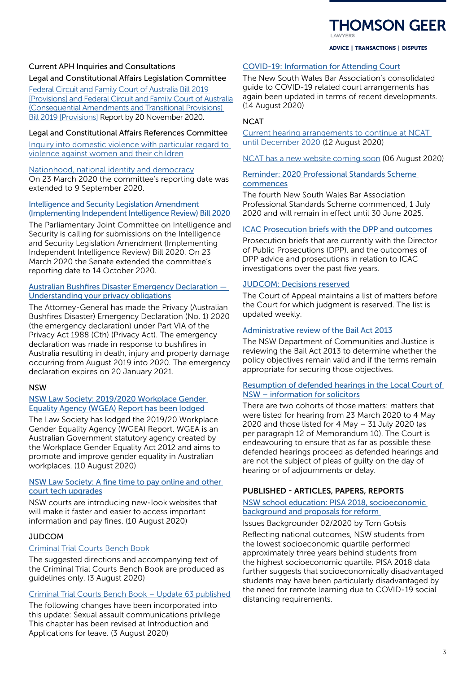

## ADVICE | TRANSACTIONS | DISPUTES

# Current APH Inquiries and Consultations Legal and Constitutional Affairs Legislation Committee

[Federal Circuit and Family Court of Australia Bill 2019](https://www.aph.gov.au/Parliamentary_Business/Committees/Senate/Legal_and_Constitutional_Affairs/Federalcircuitcourt)  [\[Provisions\] and Federal Circuit and Family Court of Australia](https://www.aph.gov.au/Parliamentary_Business/Committees/Senate/Legal_and_Constitutional_Affairs/Federalcircuitcourt)  [\(Consequential Amendments and Transitional Provisions\)](https://www.aph.gov.au/Parliamentary_Business/Committees/Senate/Legal_and_Constitutional_Affairs/Federalcircuitcourt)  [Bill 2019 \[Provisions\]](https://www.aph.gov.au/Parliamentary_Business/Committees/Senate/Legal_and_Constitutional_Affairs/Federalcircuitcourt) Report by 20 November 2020.

# Legal and Constitutional Affairs References Committee

[Inquiry into domestic violence with particular regard to](https://www.aph.gov.au/Parliamentary_Business/Committees/Senate/Legal_and_Constitutional_Affairs/DV)  [violence against women and their children](https://www.aph.gov.au/Parliamentary_Business/Committees/Senate/Legal_and_Constitutional_Affairs/DV)

[Nationhood, national identity and democracy](https://www.aph.gov.au/Parliamentary_Business/Committees/Senate/Legal_and_Constitutional_Affairs/Nationhood) On 23 March 2020 the committee's reporting date was extended to 9 September 2020.

## [Intelligence and Security Legislation Amendment](https://www.aph.gov.au/Parliamentary_Business/Committees/Senate/Finance_and_Public_Administration/IntelligenceReview2020?utm_source=QLS+newsletters+list&utm_campaign=babb10c4cb-qls-update-29april2020_COPY_01&utm_medium=email&utm_term=0_e21c5fd41e-babb10c4cb-194587545)  [\(Implementing Independent Intelligence Review\) Bill 2020](https://www.aph.gov.au/Parliamentary_Business/Committees/Senate/Finance_and_Public_Administration/IntelligenceReview2020?utm_source=QLS+newsletters+list&utm_campaign=babb10c4cb-qls-update-29april2020_COPY_01&utm_medium=email&utm_term=0_e21c5fd41e-babb10c4cb-194587545)

The Parliamentary Joint Committee on Intelligence and Security is calling for submissions on the Intelligence and Security Legislation Amendment (Implementing Independent Intelligence Review) Bill 2020. On 23 March 2020 the Senate extended the committee's reporting date to 14 October 2020.

# [Australian Bushfires Disaster Emergency Declaration —](https://www.legislation.gov.au/Details/F2020N00009)  [Understanding your privacy obligations](https://www.legislation.gov.au/Details/F2020N00009)

The Attorney-General has made the Privacy (Australian Bushfires Disaster) Emergency Declaration (No. 1) 2020 (the emergency declaration) under Part VIA of the Privacy Act 1988 (Cth) (Privacy Act). The emergency declaration was made in response to bushfires in Australia resulting in death, injury and property damage occurring from August 2019 into 2020. The emergency declaration expires on 20 January 2021.

## NSW

## [NSW Law Society: 2019/2020 Workplace Gender](https://www.lawsociety.com.au/sites/default/files/2020-08/tempPublicReport_ofofkgty5r.pdf)  [Equality Agency \(WGEA\) Report has been lodged](https://www.lawsociety.com.au/sites/default/files/2020-08/tempPublicReport_ofofkgty5r.pdf)

The Law Society has lodged the 2019/20 Workplace Gender Equality Agency (WGEA) Report. WGEA is an Australian Government statutory agency created by the Workplace Gender Equality Act 2012 and aims to promote and improve gender equality in Australian workplaces. (10 August 2020)

## [NSW Law Society: A fine time to pay online and other](https://www.dcj.nsw.gov.au/__data/assets/pdf_file/0005/786425/Mark-Speakman-med-rel-A-fine-time-to-pay-online-and-other-court-tech-upgrades.pdf)  [court tech upgrades](https://www.dcj.nsw.gov.au/__data/assets/pdf_file/0005/786425/Mark-Speakman-med-rel-A-fine-time-to-pay-online-and-other-court-tech-upgrades.pdf)

NSW courts are introducing new-look websites that will make it faster and easier to access important information and pay fines. (10 August 2020)

## JUDCOM

## [Criminal Trial Courts Bench Book](https://www.judcom.nsw.gov.au/criminal/)

The suggested directions and accompanying text of the Criminal Trial Courts Bench Book are produced as guidelines only. (3 August 2020)

## [Criminal Trial Courts Bench Book – Update 63 published](https://www.judcom.nsw.gov.au/criminal-trial-courts-bench-book-update-63-published/)

The following changes have been incorporated into this update: Sexual assault communications privilege This chapter has been revised at Introduction and Applications for leave. (3 August 2020)

## [COVID-19: Information for Attending Court](https://inbrief.nswbar.asn.au/posts/08b347d11316f1372f3414b4c4276a98/attachment/COVID19%20Information%20for%20attending%20Court%20-%20as%20at%2014082020.pdf)

The New South Wales Bar Association's consolidated guide to COVID-19 related court arrangements has again been updated in terms of recent developments. (14 August 2020)

## **NCAT**

[Current hearing arrangements to continue at NCAT](https://app.getresponse.com/view.html?x=a62b&m=nlPmV&mc=Cm&s=NlMHHx&u=Iv02&z=EVnuM6G&)  [until December 2020](https://app.getresponse.com/view.html?x=a62b&m=nlPmV&mc=Cm&s=NlMHHx&u=Iv02&z=EVnuM6G&) (12 August 2020)

[NCAT has a new website coming soon](https://app.getresponse.com/view.html?x=a62b&m=nQvVD&mc=Cm&s=NlMHHx&u=Iv02&z=Etz7GmC&) (06 August 2020)

## [Reminder: 2020 Professional Standards Scheme](https://nswbar.asn.au/bar-standards/professional-standards-scheme)  [commences](https://nswbar.asn.au/bar-standards/professional-standards-scheme)

The fourth New South Wales Bar Association Professional Standards Scheme commenced, 1 July 2020 and will remain in effect until 30 June 2025.

# [ICAC Prosecution briefs with the DPP and outcomes](https://www.icac.nsw.gov.au/investigations/prosecution-briefs-with-the-dpp-and-outcomes)

Prosecution briefs that are currently with the Director of Public Prosecutions (DPP), and the outcomes of DPP advice and prosecutions in relation to ICAC investigations over the past five years.

## [JUDCOM: Decisions reserved](https://nswca.judcom.nsw.gov.au/wp-content/uploads/2017/06/Decisions-reserved-20200731.pdf)

The Court of Appeal maintains a list of matters before the Court for which judgment is reserved. The list is updated weekly.

# [Administrative review of the Bail Act 2013](https://www.justice.nsw.gov.au/justicepolicy/Pages/lpclrd/lpclrd_consultation/administrative-review-of-the-bail-act-2013.aspx)

The NSW Department of Communities and Justice is reviewing the Bail Act 2013 to determine whether the policy objectives remain valid and if the terms remain appropriate for securing those objectives.

## [Resumption of defended hearings in the Local Court of](https://www.lawsociety.com.au/sites/default/files/2020-06/Resumption%20of%20defended%20hearings%20in%20the%20Local%20Court%20of%20NSW%20information%20for%20solicitors.pdf)  [NSW – information for solicitors](https://www.lawsociety.com.au/sites/default/files/2020-06/Resumption%20of%20defended%20hearings%20in%20the%20Local%20Court%20of%20NSW%20information%20for%20solicitors.pdf)

There are two cohorts of those matters: matters that were listed for hearing from 23 March 2020 to 4 May 2020 and those listed for 4 May – 31 July 2020 (as per paragraph 12 of Memorandum 10). The Court is endeavouring to ensure that as far as possible these defended hearings proceed as defended hearings and are not the subject of pleas of guilty on the day of hearing or of adjournments or delay.

# PUBLISHED - ARTICLES, PAPERS, REPORTS

## [NSW school education: PISA 2018, socioeconomic](https://www.parliament.nsw.gov.au/researchpapers/Pages/NSW-school-education-PISA-2018.aspx)  [background and proposals for reform](https://www.parliament.nsw.gov.au/researchpapers/Pages/NSW-school-education-PISA-2018.aspx)

Issues Backgrounder 02/2020 by Tom Gotsis

Reflecting national outcomes, NSW students from the lowest socioeconomic quartile performed approximately three years behind students from the highest socioeconomic quartile. PISA 2018 data further suggests that socioeconomically disadvantaged students may have been particularly disadvantaged by the need for remote learning due to COVID-19 social distancing requirements.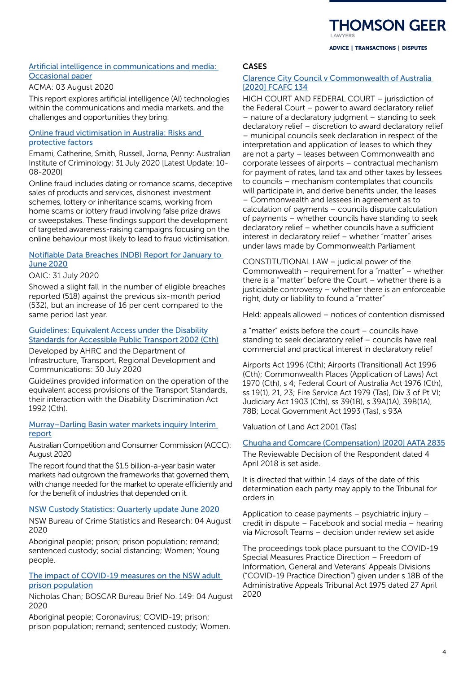# **IOMSON GEER**

ADVICE | TRANSACTIONS | DISPUTES

## [Artificial intelligence in communications and media:](https://www.acma.gov.au/publications/2020-08/publication/artificial-intelligence-communications-and-media-occasional-paper)  [Occasional paper](https://www.acma.gov.au/publications/2020-08/publication/artificial-intelligence-communications-and-media-occasional-paper)

## ACMA: 03 August 2020

This report explores artificial intelligence (AI) technologies within the communications and media markets, and the challenges and opportunities they bring.

## [Online fraud victimisation in Australia: Risks and](https://www.aic.gov.au/publications/rr/rr16)  [protective factors](https://www.aic.gov.au/publications/rr/rr16)

Emami, Catherine, Smith, Russell, Jorna, Penny: Australian Institute of Criminology: 31 July 2020 [Latest Update: 10- 08-2020]

Online fraud includes dating or romance scams, deceptive sales of products and services, dishonest investment schemes, lottery or inheritance scams, working from home scams or lottery fraud involving false prize draws or sweepstakes. These findings support the development of targeted awareness-raising campaigns focusing on the online behaviour most likely to lead to fraud victimisation.

## [Notifiable Data Breaches \(NDB\) Report for January to](https://www.oaic.gov.au/assets/privacy/notifiable-data-breaches-scheme/statistics/Notifiable-Data-Breaches-Report-Jan-Jun-2020.pdf)  [June 2020](https://www.oaic.gov.au/assets/privacy/notifiable-data-breaches-scheme/statistics/Notifiable-Data-Breaches-Report-Jan-Jun-2020.pdf)

## OAIC: 31 July 2020

Showed a slight fall in the number of eligible breaches reported (518) against the previous six-month period (532), but an increase of 16 per cent compared to the same period last year.

## [Guidelines: Equivalent Access under the Disability](https://humanrights.gov.au/our-work/disability-rights/publications/guidelines-equivalent-access-under-disability-standards)  [Standards for Accessible Public Transport 2002 \(Cth\)](https://humanrights.gov.au/our-work/disability-rights/publications/guidelines-equivalent-access-under-disability-standards)

Developed by AHRC and the Department of Infrastructure, Transport, Regional Development and Communications: 30 July 2020

Guidelines provided information on the operation of the equivalent access provisions of the Transport Standards, their interaction with the Disability Discrimination Act 1992 (Cth).

## [Murray–Darling Basin water markets inquiry Interim](https://www.accc.gov.au/system/files/Murray-Darling%20Basin%20inquiry%20-%20interim%20report.pdf)  [report](https://www.accc.gov.au/system/files/Murray-Darling%20Basin%20inquiry%20-%20interim%20report.pdf)

Australian Competition and Consumer Commission (ACCC): August 2020

The report found that the \$1.5 billion-a-year basin water markets had outgrown the frameworks that governed them, with change needed for the market to operate efficiently and for the benefit of industries that depended on it.

## [NSW Custody Statistics: Quarterly update June 2020](https://www.bocsar.nsw.gov.au/Publications/custody/NSW_Custody_Statistics_Jun2020.pdf)

NSW Bureau of Crime Statistics and Research: 04 August 2020

Aboriginal people; prison; prison population; remand; sentenced custody; social distancing; Women; Young people.

## [The impact of COVID-19 measures on the NSW adult](https://www.bocsar.nsw.gov.au/Publications/BB/BB149-The-impact-of-COVID-19-measures-on-the-NSW-adult-prison-population.pdf)  [prison population](https://www.bocsar.nsw.gov.au/Publications/BB/BB149-The-impact-of-COVID-19-measures-on-the-NSW-adult-prison-population.pdf)

Nicholas Chan; BOSCAR Bureau Brief No. 149: 04 August 2020

Aboriginal people; Coronavirus; COVID-19; prison; prison population; remand; sentenced custody; Women.

## CASES

## [Clarence City Council v Commonwealth of Australia](http://www8.austlii.edu.au/cgi-bin/viewdoc/au/cases/cth/FCAFC/2020/134.html)  [\[2020\] FCAFC 134](http://www8.austlii.edu.au/cgi-bin/viewdoc/au/cases/cth/FCAFC/2020/134.html)

HIGH COURT AND FEDERAL COURT – jurisdiction of the Federal Court – power to award declaratory relief – nature of a declaratory judgment – standing to seek declaratory relief – discretion to award declaratory relief – municipal councils seek declaration in respect of the interpretation and application of leases to which they are not a party – leases between Commonwealth and corporate lessees of airports – contractual mechanism for payment of rates, land tax and other taxes by lessees to councils – mechanism contemplates that councils will participate in, and derive benefits under, the leases – Commonwealth and lessees in agreement as to calculation of payments – councils dispute calculation of payments – whether councils have standing to seek declaratory relief – whether councils have a sufficient interest in declaratory relief – whether "matter" arises under laws made by Commonwealth Parliament

CONSTITUTIONAL LAW – judicial power of the Commonwealth – requirement for a "matter" – whether there is a "matter" before the Court – whether there is a justiciable controversy – whether there is an enforceable right, duty or liability to found a "matter"

Held: appeals allowed – notices of contention dismissed

a "matter" exists before the court – councils have standing to seek declaratory relief – councils have real commercial and practical interest in declaratory relief

Airports Act 1996 (Cth); Airports (Transitional) Act 1996 (Cth); Commonwealth Places (Application of Laws) Act 1970 (Cth), s 4; Federal Court of Australia Act 1976 (Cth), ss 19(1), 21, 23; Fire Service Act 1979 (Tas), Div 3 of Pt VI; Judiciary Act 1903 (Cth), ss 39(1B), s 39A(1A), 39B(1A), 78B; Local Government Act 1993 (Tas), s 93A

Valuation of Land Act 2001 (Tas)

# [Chugha and Comcare \(Compensation\) \[2020\] AATA 2835](http://www8.austlii.edu.au/cgi-bin/viewdoc/au/cases/cth/AATA/2020/2835.html)

The Reviewable Decision of the Respondent dated 4 April 2018 is set aside.

It is directed that within 14 days of the date of this determination each party may apply to the Tribunal for orders in

Application to cease payments – psychiatric injury – credit in dispute – Facebook and social media – hearing via Microsoft Teams – decision under review set aside

The proceedings took place pursuant to the COVID-19 Special Measures Practice Direction – Freedom of Information, General and Veterans' Appeals Divisions ("COVID-19 Practice Direction") given under s 18B of the Administrative Appeals Tribunal Act 1975 dated 27 April 2020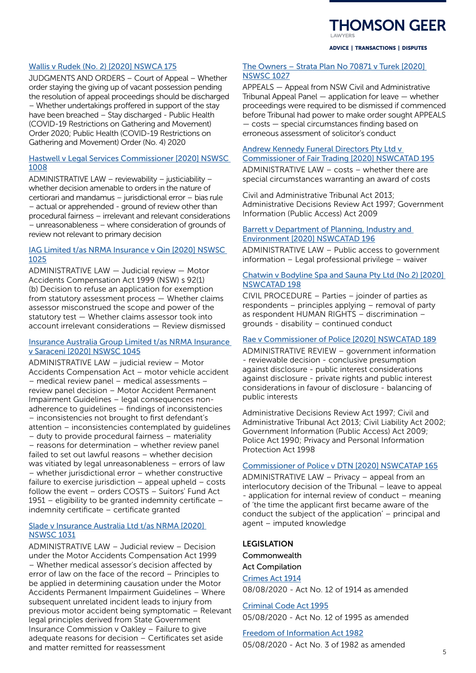# **THOMSON GEER**

#### ADVICE | TRANSACTIONS | DISPUTES

## [Wallis v Rudek \(No. 2\) \[2020\] NSWCA 175](https://www.caselaw.nsw.gov.au/decision/173e571dd71a1bcde2230fd6)

JUDGMENTS AND ORDERS – Court of Appeal – Whether order staying the giving up of vacant possession pending the resolution of appeal proceedings should be discharged – Whether undertakings proffered in support of the stay have been breached – Stay discharged - Public Health (COVID-19 Restrictions on Gathering and Movement) Order 2020; Public Health (COVID-19 Restrictions on Gathering and Movement) Order (No. 4) 2020

#### [Hastwell v Legal Services Commissioner \[2020\] NSWSC](https://www.caselaw.nsw.gov.au/decision/173b1bf40fe186db42c96446)  [1008](https://www.caselaw.nsw.gov.au/decision/173b1bf40fe186db42c96446)

ADMINISTRATIVE LAW – reviewability – justiciability – whether decision amenable to orders in the nature of certiorari and mandamus – jurisdictional error – bias rule – actual or apprehended - ground of review other than procedural fairness – irrelevant and relevant considerations – unreasonableness – where consideration of grounds of review not relevant to primary decision

## [IAG Limited t/as NRMA Insurance v Qin \[2020\] NSWSC](https://www.caselaw.nsw.gov.au/decision/173bd194a8e634f5430c829d)  [1025](https://www.caselaw.nsw.gov.au/decision/173bd194a8e634f5430c829d)

ADMINISTRATIVE LAW — Judicial review — Motor Accidents Compensation Act 1999 (NSW) s 92(1) (b) Decision to refuse an application for exemption from statutory assessment process — Whether claims assessor misconstrued the scope and power of the statutory test — Whether claims assessor took into account irrelevant considerations — Review dismissed

## [Insurance Australia Group Limited t/as NRMA Insurance](https://www.caselaw.nsw.gov.au/decision/173d6c95c823815c845dfbaa)  [v Saraceni \[2020\] NSWSC 1045](https://www.caselaw.nsw.gov.au/decision/173d6c95c823815c845dfbaa)

ADMINISTRATIVE LAW – judicial review – Motor Accidents Compensation Act – motor vehicle accident – medical review panel – medical assessments – review panel decision – Motor Accident Permanent Impairment Guidelines – legal consequences nonadherence to guidelines – findings of inconsistencies – inconsistencies not brought to first defendant's attention – inconsistencies contemplated by guidelines – duty to provide procedural fairness – materiality – reasons for determination – whether review panel failed to set out lawful reasons – whether decision was vitiated by legal unreasonableness – errors of law – whether jurisdictional error – whether constructive failure to exercise jurisdiction – appeal upheld – costs follow the event – orders COSTS – Suitors' Fund Act 1951 – eligibility to be granted indemnity certificate – indemnity certificate – certificate granted

## [Slade v Insurance Australia Ltd t/as NRMA \[2020\]](https://www.caselaw.nsw.gov.au/decision/173c11464a26814911a69210)  [NSWSC 1031](https://www.caselaw.nsw.gov.au/decision/173c11464a26814911a69210)

ADMINISTRATIVE LAW – Judicial review – Decision under the Motor Accidents Compensation Act 1999 – Whether medical assessor's decision affected by error of law on the face of the record – Principles to be applied in determining causation under the Motor Accidents Permanent Impairment Guidelines – Where subsequent unrelated incident leads to injury from previous motor accident being symptomatic – Relevant legal principles derived from State Government Insurance Commission v Oakley – Failure to give adequate reasons for decision – Certificates set aside and matter remitted for reassessment

## [The Owners – Strata Plan No 70871 v Turek \[2020\]](https://www.caselaw.nsw.gov.au/decision/173bd9f3c1caaa4d2d840812)  [NSWSC 1027](https://www.caselaw.nsw.gov.au/decision/173bd9f3c1caaa4d2d840812)

APPEALS — Appeal from NSW Civil and Administrative Tribunal Appeal Panel — application for leave — whether proceedings were required to be dismissed if commenced before Tribunal had power to make order sought APPEALS — costs — special circumstances finding based on erroneous assessment of solicitor's conduct

## [Andrew Kennedy Funeral Directors Pty Ltd v](https://www.caselaw.nsw.gov.au/decision/173a29056c196fcefcee8fae)  [Commissioner of Fair Trading \[2020\] NSWCATAD 195](https://www.caselaw.nsw.gov.au/decision/173a29056c196fcefcee8fae)

ADMINISTRATIVE LAW – costs – whether there are special circumstances warranting an award of costs

Civil and Administrative Tribunal Act 2013; Administrative Decisions Review Act 1997; Government Information (Public Access) Act 2009

#### **Barrett v Department of Planning, Industry and** [Environment \[2020\] NSWCATAD 196](https://www.caselaw.nsw.gov.au/decision/173db0ef6aa51746f3b7f580)

ADMINISTRATIVE LAW – Public access to government information – Legal professional privilege – waiver

## [Chatwin v Bodyline Spa and Sauna Pty Ltd \(No 2\) \[2020\]](https://www.caselaw.nsw.gov.au/decision/173db10ebbbb1dd3bae76313)  [NSWCATAD 198](https://www.caselaw.nsw.gov.au/decision/173db10ebbbb1dd3bae76313)

CIVIL PROCEDURE – Parties – joinder of parties as respondents – principles applying – removal of party as respondent HUMAN RIGHTS – discrimination – grounds - disability – continued conduct

## [Rae v Commissioner of Police \[2020\] NSWCATAD 189](https://www.caselaw.nsw.gov.au/decision/1737966177067e9a618a93f1)

ADMINISTRATIVE REVIEW – government information - reviewable decision - conclusive presumption against disclosure - public interest considerations against disclosure - private rights and public interest considerations in favour of disclosure - balancing of public interests

Administrative Decisions Review Act 1997; Civil and Administrative Tribunal Act 2013; Civil Liability Act 2002; Government Information (Public Access) Act 2009; Police Act 1990; Privacy and Personal Information Protection Act 1998

#### [Commissioner of Police v DTN \[2020\] NSWCATAP 165](https://www.caselaw.nsw.gov.au/decision/173a26181c329fb2fa4bab19)

ADMINISTRATIVE LAW – Privacy – appeal from an interlocutory decision of the Tribunal – leave to appeal - application for internal review of conduct – meaning of 'the time the applicant first became aware of the conduct the subject of the application' – principal and agent – imputed knowledge

## LEGISLATION

Commonwealth Act Compilation [Crimes Act 1914](https://www.legislation.gov.au/Details/C2020C00253)

08/08/2020 - Act No. 12 of 1914 as amended

[Criminal Code Act 1995](https://www.legislation.gov.au/Details/C2020C00245) 05/08/2020 - Act No. 12 of 1995 as amended

[Freedom of Information Act 1982](https://www.legislation.gov.au/Details/C2020C00246) 05/08/2020 - Act No. 3 of 1982 as amended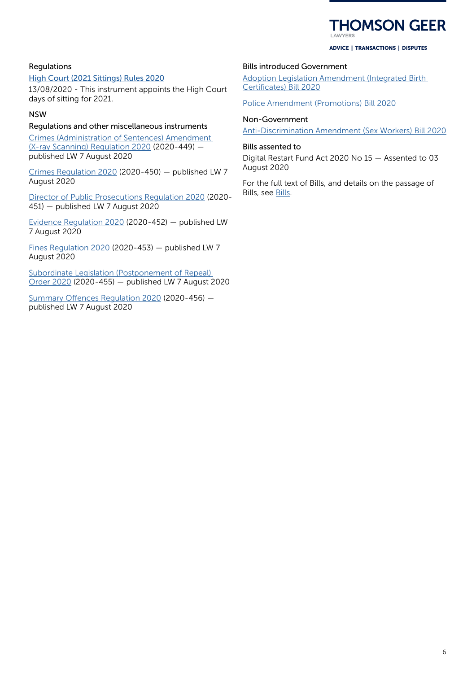# **HOMSON GEER**

#### ADVICE | TRANSACTIONS | DISPUTES

## Regulations

[High Court \(2021 Sittings\) Rules 2020](https://www.legislation.gov.au/Details/F2020L01015)

13/08/2020 - This instrument appoints the High Court days of sitting for 2021.

## NSW

## Regulations and other miscellaneous instruments

[Crimes \(Administration of Sentences\) Amendment](https://www.legislation.nsw.gov.au/regulations/2020-449.pdf)  [\(X-ray Scanning\) Regulation 2020](https://www.legislation.nsw.gov.au/regulations/2020-449.pdf) (2020-449) published LW 7 August 2020

[Crimes Regulation 2020](https://www.legislation.nsw.gov.au/regulations/2020-450.pdf) (2020-450) — published LW 7 August 2020

[Director of Public Prosecutions Regulation 2020](https://www.legislation.nsw.gov.au/regulations/2020-451.pdf) (2020- 451) — published LW 7 August 2020

[Evidence Regulation 2020](https://www.legislation.nsw.gov.au/regulations/2020-452.pdf) (2020-452) — published LW 7 August 2020

[Fines Regulation 2020](https://www.legislation.nsw.gov.au/regulations/2020-453.pdf) (2020-453) — published LW 7 August 2020

[Subordinate Legislation \(Postponement of Repeal\)](https://www.legislation.nsw.gov.au/regulations/2020-455.pdf)  [Order 2020](https://www.legislation.nsw.gov.au/regulations/2020-455.pdf) (2020-455) — published LW 7 August 2020

[Summary Offences Regulation 2020](https://www.legislation.nsw.gov.au/regulations/2020-456.pdf) (2020-456) published LW 7 August 2020

## Bills introduced Government

[Adoption Legislation Amendment \(Integrated Birth](https://www.legislation.nsw.gov.au/#/view/bill/24d9e5fb-15b2-4213-bbab-cbc6bfb1b8e6)  [Certificates\) Bill 2020](https://www.legislation.nsw.gov.au/#/view/bill/24d9e5fb-15b2-4213-bbab-cbc6bfb1b8e6)

[Police Amendment \(Promotions\) Bill 2020](https://www.legislation.nsw.gov.au/#/view/bill/93845c09-059c-4b33-b8f6-82e1187c7534)

## Non-Government

[Anti-Discrimination Amendment \(Sex Workers\) Bill 2020](https://www.legislation.nsw.gov.au/#/view/bill/79567f48-f80b-4d7f-912a-6a2b144027a4)

#### Bills assented to

Digital Restart Fund Act 2020 No 15 — Assented to 03 August 2020

For the full text of Bills, and details on the passage of Bills, see [Bills.](https://www.legislation.nsw.gov.au/#/bills)